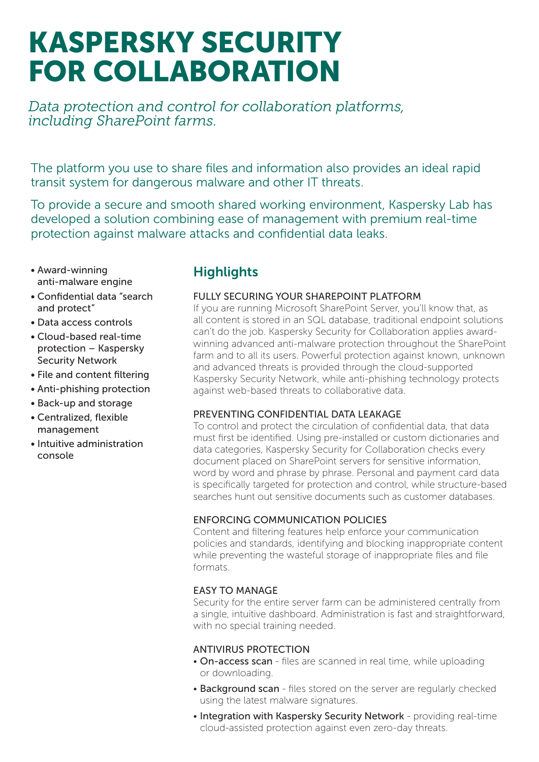# KASPERSKY SECURITY FOR COLLABORATION

*Data protection and control for collaboration platforms, including SharePoint farms.*

The platform you use to share files and information also provides an ideal rapid transit system for dangerous malware and other IT threats.

To provide a secure and smooth shared working environment, Kaspersky Lab has developed a solution combining ease of management with premium real-time protection against malware attacks and confidential data leaks.

- Award-winning anti-malware engine
- Confidential data "search and protect"
- Data access controls
- Cloud-based real-time protection – Kaspersky Security Network
- File and content filtering
- Anti-phishing protection
- Back-up and storage
- Centralized, flexible management
- Intuitive administration console

## **Highlights**

#### FULLY SECURING YOUR SHAREPOINT PLATFORM

If you are running Microsoft SharePoint Server, you'll know that, as all content is stored in an SQL database, traditional endpoint solutions can't do the job. Kaspersky Security for Collaboration applies awardwinning advanced anti-malware protection throughout the SharePoint farm and to all its users. Powerful protection against known, unknown and advanced threats is provided through the cloud-supported Kaspersky Security Network, while anti-phishing technology protects against web-based threats to collaborative data.

## PREVENTING CONFIDENTIAL DATA LEAKAGE

To control and protect the circulation of confidential data, that data must first be identified. Using pre-installed or custom dictionaries and data categories, Kaspersky Security for Collaboration checks every document placed on SharePoint servers for sensitive information, word by word and phrase by phrase. Personal and payment card data is specifically targeted for protection and control, while structure-based searches hunt out sensitive documents such as customer databases.

## ENFORCING COMMUNICATION POLICIES

Content and filtering features help enforce your communication policies and standards, identifying and blocking inappropriate content while preventing the wasteful storage of inappropriate files and file formats.

## EASY TO MANAGE

Security for the entire server farm can be administered centrally from a single, intuitive dashboard. Administration is fast and straightforward, with no special training needed.

#### ANTIVIRUS PROTECTION

- On-access scan files are scanned in real time, while uploading or downloading.
- Background scan files stored on the server are regularly checked using the latest malware signatures.
- Integration with Kaspersky Security Network providing real-time cloud-assisted protection against even zero-day threats.